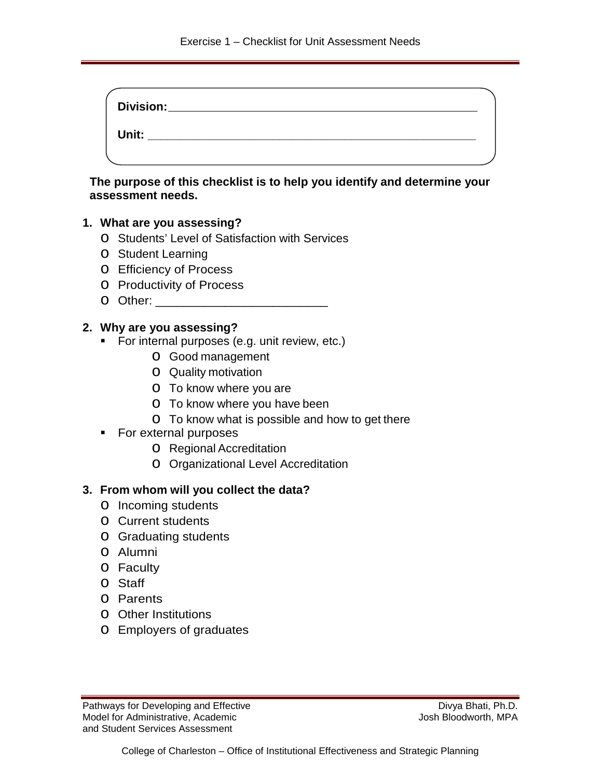| Division: |  |
|-----------|--|
| Unit:     |  |
|           |  |

**The purpose of this checklist is to help you identify and determine your assessment needs.**

### **1. What are you assessing?**

- o Students' Level of Satisfaction with Services
- o Student Learning
- o Efficiency of Process
- o Productivity of Process
- o Other: \_\_\_\_\_\_\_\_\_\_\_\_\_\_\_\_\_\_\_\_\_\_\_\_\_

### **2. Why are you assessing?**

- **For internal purposes (e.g. unit review, etc.)** 
	- o Good management
	- o Quality motivation
	- o To know where you are
	- o To know where you have been
	- o To know what is possible and how to get there
- For external purposes
	- o Regional Accreditation
	- o Organizational Level Accreditation

### **3. From whom will you collect the data?**

- o Incoming students
- o Current students
- o Graduating students
- o Alumni
- o Faculty
- o Staff
- o Parents
- o Other Institutions
- o Employers of graduates